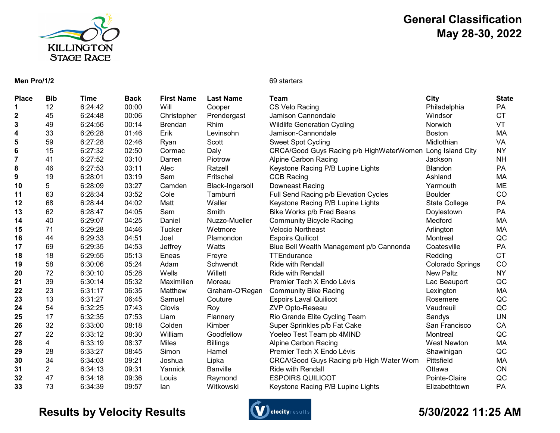

# General Classification May 28-30, 2022

### Men Pro/1/2 69 starters

| <b>Place</b>   | <b>Bib</b>     | Time    | <b>Back</b> | <b>First Name</b> | <b>Last Name</b> | <b>Team</b>                              | City                    | <b>State</b> |
|----------------|----------------|---------|-------------|-------------------|------------------|------------------------------------------|-------------------------|--------------|
|                | 12             | 6:24:42 | 00:00       | Will              | Cooper           | CS Velo Racing                           | Philadelphia            | PA           |
| $\mathbf 2$    | 45             | 6:24:48 | 00:06       | Christopher       | Prendergast      | Jamison Cannondale                       | Windsor                 | <b>CT</b>    |
| 3              | 49             | 6:24:56 | 00:14       | <b>Brendan</b>    | Rhim             | <b>Wildlife Generation Cycling</b>       | Norwich                 | VT           |
| 4              | 33             | 6:26:28 | 01:46       | Erik              | Levinsohn        | Jamison-Cannondale                       | <b>Boston</b>           | MA           |
| 5              | 59             | 6:27:28 | 02:46       | Ryan              | Scott            | <b>Sweet Spot Cycling</b>                | Midlothian              | VA           |
| $\bf 6$        | 15             | 6:27:32 | 02:50       | Cormac            | Daly             | CRCA/Good Guys Racing p/b HighWaterWomen | Long Island City        | <b>NY</b>    |
| $\overline{7}$ | 41             | 6:27:52 | 03:10       | Darren            | Piotrow          | Alpine Carbon Racing                     | Jackson                 | <b>NH</b>    |
| 8              | 46             | 6:27:53 | 03:11       | Alec              | Ratzell          | Keystone Racing P/B Lupine Lights        | <b>Blandon</b>          | <b>PA</b>    |
| 9              | 19             | 6:28:01 | 03:19       | Sam               | Fritschel        | <b>CCB Racing</b>                        | Ashland                 | MA           |
| 10             | 5              | 6:28:09 | 03:27       | Camden            | Black-Ingersoll  | Downeast Racing                          | Yarmouth                | ME           |
| 11             | 63             | 6:28:34 | 03:52       | Cole              | Tamburri         | Full Send Racing p/b Elevation Cycles    | <b>Boulder</b>          | CO           |
| 12             | 68             | 6:28:44 | 04:02       | Matt              | Waller           | Keystone Racing P/B Lupine Lights        | <b>State College</b>    | PA           |
| 13             | 62             | 6:28:47 | 04:05       | Sam               | Smith            | Bike Works p/b Fred Beans                | Doylestown              | PA           |
| 14             | 40             | 6:29:07 | 04:25       | Daniel            | Nuzzo-Mueller    | <b>Community Bicycle Racing</b>          | Medford                 | МA           |
| 15             | 71             | 6:29:28 | 04:46       | Tucker            | Wetmore          | <b>Velocio Northeast</b>                 | Arlington               | MA           |
| 16             | 44             | 6:29:33 | 04:51       | Joel              | Plamondon        | <b>Espoirs Quilicot</b>                  | Montreal                | QC           |
| 17             | 69             | 6:29:35 | 04:53       | Jeffrey           | Watts            | Blue Bell Wealth Management p/b Cannonda | Coatesville             | <b>PA</b>    |
| 18             | 18             | 6:29:55 | 05:13       | Eneas             | Freyre           | <b>TTEndurance</b>                       | Redding                 | <b>CT</b>    |
| 19             | 58             | 6:30:06 | 05:24       | Adam              | Schwendt         | <b>Ride with Rendall</b>                 | <b>Colorado Springs</b> | CO           |
| 20             | 72             | 6:30:10 | 05:28       | Wells             | Willett          | <b>Ride with Rendall</b>                 | <b>New Paltz</b>        | <b>NY</b>    |
| 21             | 39             | 6:30:14 | 05:32       | Maximilien        | Moreau           | Premier Tech X Endo Lévis                | Lac Beauport            | QC           |
| 22             | 23             | 6:31:17 | 06:35       | Matthew           | Graham-O'Regan   | <b>Community Bike Racing</b>             | Lexington               | МA           |
| 23             | 13             | 6:31:27 | 06:45       | Samuel            | Couture          | <b>Espoirs Laval Quilicot</b>            | Rosemere                | QC           |
| 24             | 54             | 6:32:25 | 07:43       | Clovis            | Roy              | ZVP Opto-Reseau                          | Vaudreuil               | QC           |
| 25             | 17             | 6:32:35 | 07:53       | Liam              | Flannery         | Rio Grande Elite Cycling Team            | Sandys                  | <b>UN</b>    |
| 26             | 32             | 6:33:00 | 08:18       | Colden            | Kimber           | Super Sprinkles p/b Fat Cake             | San Francisco           | CA           |
| 27             | 22             | 6:33:12 | 08:30       | William           | Goodfellow       | Yoeleo Test Team pb 4MIND                | Montreal                | QC           |
| 28             | 4              | 6:33:19 | 08:37       | <b>Miles</b>      | <b>Billings</b>  | <b>Alpine Carbon Racing</b>              | <b>West Newton</b>      | MA           |
| 29             | 28             | 6:33:27 | 08:45       | Simon             | Hamel            | Premier Tech X Endo Lévis                | Shawinigan              | QC           |
| 30             | 34             | 6:34:03 | 09:21       | Joshua            | Lipka            | CRCA/Good Guys Racing p/b High Water Wom | Pittsfield              | MA           |
| 31             | $\overline{2}$ | 6:34:13 | 09:31       | Yannick           | <b>Banville</b>  | <b>Ride with Rendall</b>                 | Ottawa                  | ON           |
| 32             | 47             | 6:34:18 | 09:36       | Louis             | Raymond          | <b>ESPOIRS QUILICOT</b>                  | Pointe-Claire           | QC           |
| 33             | 73             | 6:34:39 | 09:57       | lan               | Witkowski        | Keystone Racing P/B Lupine Lights        | Elizabethtown           | PA           |

# Results by Velocity Results **Conserversions** Construction of the State of the State of the State of the State of the State of the State of the State of the State of the State of the State of the State of the State of the S